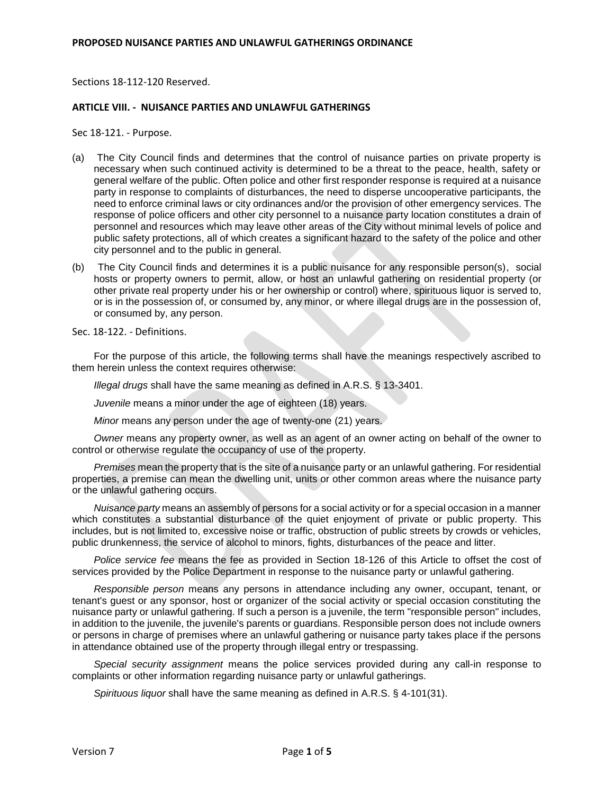Sections 18-112-120 Reserved.

## **ARTICLE VIII. - NUISANCE PARTIES AND UNLAWFUL GATHERINGS**

Sec 18-121. - Purpose.

- (a) The City Council finds and determines that the control of nuisance parties on private property is necessary when such continued activity is determined to be a threat to the peace, health, safety or general welfare of the public. Often police and other first responder response is required at a nuisance party in response to complaints of disturbances, the need to disperse uncooperative participants, the need to enforce criminal laws or city ordinances and/or the provision of other emergency services. The response of police officers and other city personnel to a nuisance party location constitutes a drain of personnel and resources which may leave other areas of the City without minimal levels of police and public safety protections, all of which creates a significant hazard to the safety of the police and other city personnel and to the public in general.
- (b) The City Council finds and determines it is a public nuisance for any responsible person(s), social hosts or property owners to permit, allow, or host an unlawful gathering on residential property (or other private real property under his or her ownership or control) where, spirituous liquor is served to, or is in the possession of, or consumed by, any minor, or where illegal drugs are in the possession of, or consumed by, any person.

Sec. 18-122. - Definitions.

For the purpose of this article, the following terms shall have the meanings respectively ascribed to them herein unless the context requires otherwise:

*Illegal drugs* shall have the same meaning as defined in A.R.S. § 13-3401.

*Juvenile* means a minor under the age of eighteen (18) years.

*Minor* means any person under the age of twenty-one (21) years.

*Owner* means any property owner, as well as an agent of an owner acting on behalf of the owner to control or otherwise regulate the occupancy of use of the property.

*Premises* mean the property that is the site of a nuisance party or an unlawful gathering. For residential properties, a premise can mean the dwelling unit, units or other common areas where the nuisance party or the unlawful gathering occurs.

*Nuisance party* means an assembly of persons for a social activity or for a special occasion in a manner which constitutes a substantial disturbance of the quiet enjoyment of private or public property. This includes, but is not limited to, excessive noise or traffic, obstruction of public streets by crowds or vehicles, public drunkenness, the service of alcohol to minors, fights, disturbances of the peace and litter.

*Police service fee* means the fee as provided in Section 18-126 of this Article to offset the cost of services provided by the Police Department in response to the nuisance party or unlawful gathering.

*Responsible person* means any persons in attendance including any owner, occupant, tenant, or tenant's guest or any sponsor, host or organizer of the social activity or special occasion constituting the nuisance party or unlawful gathering. If such a person is a juvenile, the term "responsible person" includes, in addition to the juvenile, the juvenile's parents or guardians. Responsible person does not include owners or persons in charge of premises where an unlawful gathering or nuisance party takes place if the persons in attendance obtained use of the property through illegal entry or trespassing.

*Special security assignment* means the police services provided during any call-in response to complaints or other information regarding nuisance party or unlawful gatherings.

*Spirituous liquor* shall have the same meaning as defined in A.R.S. § 4-101(31).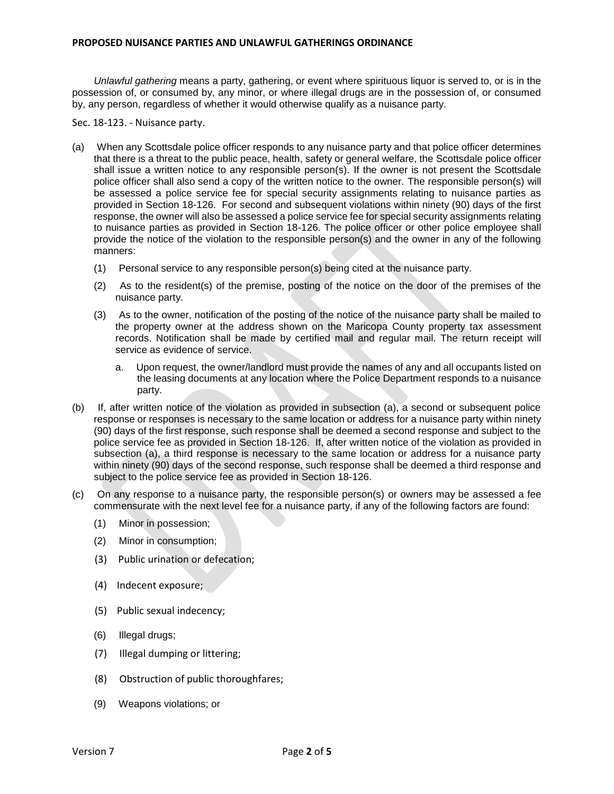*Unlawful gathering* means a party, gathering, or event where spirituous liquor is served to, or is in the possession of, or consumed by, any minor, or where illegal drugs are in the possession of, or consumed by, any person, regardless of whether it would otherwise qualify as a nuisance party.

Sec. 18-123. - Nuisance party.

- (a) When any Scottsdale police officer responds to any nuisance party and that police officer determines that there is a threat to the public peace, health, safety or general welfare, the Scottsdale police officer shall issue a written notice to any responsible person(s). If the owner is not present the Scottsdale police officer shall also send a copy of the written notice to the owner. The responsible person(s) will be assessed a police service fee for special security assignments relating to nuisance parties as provided in Section 18-126. For second and subsequent violations within ninety (90) days of the first response, the owner will also be assessed a police service fee for special security assignments relating to nuisance parties as provided in Section 18-126. The police officer or other police employee shall provide the notice of the violation to the responsible person(s) and the owner in any of the following manners:
	- (1) Personal service to any responsible person(s) being cited at the nuisance party.
	- (2) As to the resident(s) of the premise, posting of the notice on the door of the premises of the nuisance party.
	- (3) As to the owner, notification of the posting of the notice of the nuisance party shall be mailed to the property owner at the address shown on the Maricopa County property tax assessment records. Notification shall be made by certified mail and regular mail. The return receipt will service as evidence of service.
		- a. Upon request, the owner/landlord must provide the names of any and all occupants listed on the leasing documents at any location where the Police Department responds to a nuisance party.
- (b) If, after written notice of the violation as provided in subsection (a), a second or subsequent police response or responses is necessary to the same location or address for a nuisance party within ninety (90) days of the first response, such response shall be deemed a second response and subject to the police service fee as provided in Section 18-126. If, after written notice of the violation as provided in subsection (a), a third response is necessary to the same location or address for a nuisance party within ninety (90) days of the second response, such response shall be deemed a third response and subject to the police service fee as provided in Section 18-126.
- (c) On any response to a nuisance party, the responsible person(s) or owners may be assessed a fee commensurate with the next level fee for a nuisance party, if any of the following factors are found:
	- (1) Minor in possession;
	- (2) Minor in consumption;
	- (3) Public urination or defecation;
	- (4) Indecent exposure;
	- (5) Public sexual indecency;
	- (6) Illegal drugs;
	- (7) Illegal dumping or littering;
	- (8) Obstruction of public thoroughfares;
	- (9) Weapons violations; or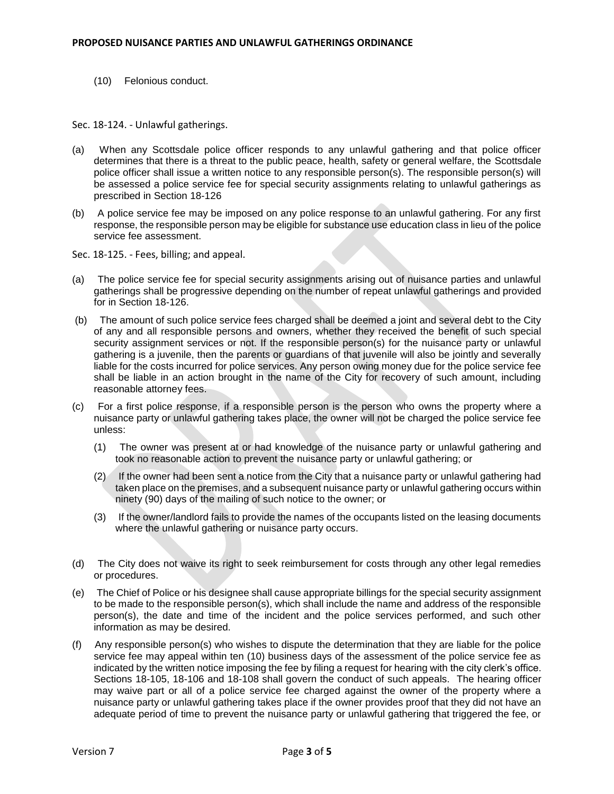(10) Felonious conduct.

Sec. 18-124. - Unlawful gatherings.

- (a) When any Scottsdale police officer responds to any unlawful gathering and that police officer determines that there is a threat to the public peace, health, safety or general welfare, the Scottsdale police officer shall issue a written notice to any responsible person(s). The responsible person(s) will be assessed a police service fee for special security assignments relating to unlawful gatherings as prescribed in Section 18-126
- (b) A police service fee may be imposed on any police response to an unlawful gathering. For any first response, the responsible person may be eligible for substance use education class in lieu of the police service fee assessment.

Sec. 18-125. - Fees, billing; and appeal.

- (a) The police service fee for special security assignments arising out of nuisance parties and unlawful gatherings shall be progressive depending on the number of repeat unlawful gatherings and provided for in Section 18-126.
- (b) The amount of such police service fees charged shall be deemed a joint and several debt to the City of any and all responsible persons and owners, whether they received the benefit of such special security assignment services or not. If the responsible person(s) for the nuisance party or unlawful gathering is a juvenile, then the parents or guardians of that juvenile will also be jointly and severally liable for the costs incurred for police services. Any person owing money due for the police service fee shall be liable in an action brought in the name of the City for recovery of such amount, including reasonable attorney fees.
- (c) For a first police response, if a responsible person is the person who owns the property where a nuisance party or unlawful gathering takes place, the owner will not be charged the police service fee unless:
	- (1) The owner was present at or had knowledge of the nuisance party or unlawful gathering and took no reasonable action to prevent the nuisance party or unlawful gathering; or
	- (2) If the owner had been sent a notice from the City that a nuisance party or unlawful gathering had taken place on the premises, and a subsequent nuisance party or unlawful gathering occurs within ninety (90) days of the mailing of such notice to the owner; or
	- (3) If the owner/landlord fails to provide the names of the occupants listed on the leasing documents where the unlawful gathering or nuisance party occurs.
- (d) The City does not waive its right to seek reimbursement for costs through any other legal remedies or procedures.
- (e) The Chief of Police or his designee shall cause appropriate billings for the special security assignment to be made to the responsible person(s), which shall include the name and address of the responsible person(s), the date and time of the incident and the police services performed, and such other information as may be desired.
- (f) Any responsible person(s) who wishes to dispute the determination that they are liable for the police service fee may appeal within ten (10) business days of the assessment of the police service fee as indicated by the written notice imposing the fee by filing a request for hearing with the city clerk's office. Sections 18-105, 18-106 and 18-108 shall govern the conduct of such appeals. The hearing officer may waive part or all of a police service fee charged against the owner of the property where a nuisance party or unlawful gathering takes place if the owner provides proof that they did not have an adequate period of time to prevent the nuisance party or unlawful gathering that triggered the fee, or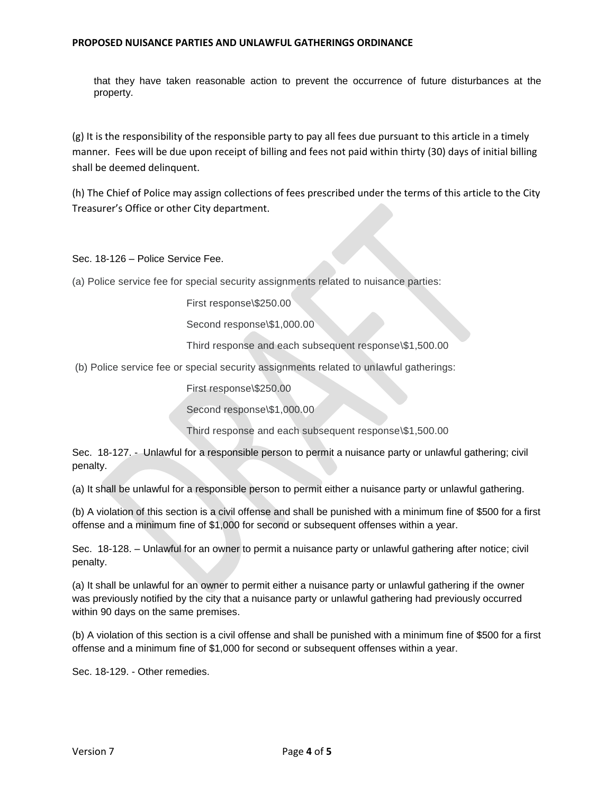## **PROPOSED NUISANCE PARTIES AND UNLAWFUL GATHERINGS ORDINANCE**

that they have taken reasonable action to prevent the occurrence of future disturbances at the property.

(g) It is the responsibility of the responsible party to pay all fees due pursuant to this article in a timely manner. Fees will be due upon receipt of billing and fees not paid within thirty (30) days of initial billing shall be deemed delinquent.

(h) The Chief of Police may assign collections of fees prescribed under the terms of this article to the City Treasurer's Office or other City department.

Sec. 18-126 – Police Service Fee.

(a) Police service fee for special security assignments related to nuisance parties:

First response\\$250.00

Second response\\$1,000.00

Third response and each subsequent response\\$1,500.00

(b) Police service fee or special security assignments related to unlawful gatherings:

First response\\$250.00

Second response\\$1,000.00

Third response and each subsequent response\\$1,500.00

Sec. 18-127. - Unlawful for a responsible person to permit a nuisance party or unlawful gathering; civil penalty.

(a) It shall be unlawful for a responsible person to permit either a nuisance party or unlawful gathering.

(b) A violation of this section is a civil offense and shall be punished with a minimum fine of \$500 for a first offense and a minimum fine of \$1,000 for second or subsequent offenses within a year.

Sec. 18-128. – Unlawful for an owner to permit a nuisance party or unlawful gathering after notice; civil penalty.

(a) It shall be unlawful for an owner to permit either a nuisance party or unlawful gathering if the owner was previously notified by the city that a nuisance party or unlawful gathering had previously occurred within 90 days on the same premises.

(b) A violation of this section is a civil offense and shall be punished with a minimum fine of \$500 for a first offense and a minimum fine of \$1,000 for second or subsequent offenses within a year.

Sec. 18-129. - Other remedies.